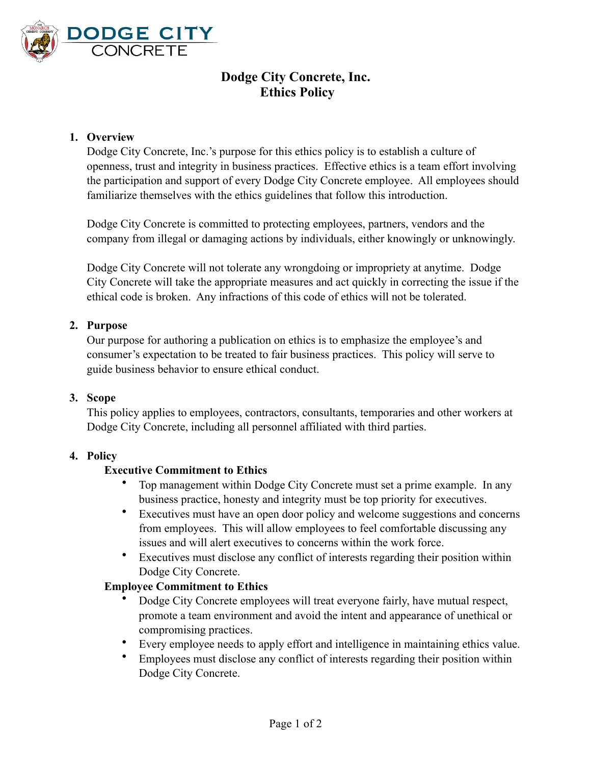

# **Dodge City Concrete, Inc. Ethics Policy**

## **1. Overview**

Dodge City Concrete, Inc.'s purpose for this ethics policy is to establish a culture of openness, trust and integrity in business practices. Effective ethics is a team effort involving the participation and support of every Dodge City Concrete employee. All employees should familiarize themselves with the ethics guidelines that follow this introduction.

Dodge City Concrete is committed to protecting employees, partners, vendors and the company from illegal or damaging actions by individuals, either knowingly or unknowingly.

Dodge City Concrete will not tolerate any wrongdoing or impropriety at anytime. Dodge City Concrete will take the appropriate measures and act quickly in correcting the issue if the ethical code is broken. Any infractions of this code of ethics will not be tolerated.

## **2. Purpose**

Our purpose for authoring a publication on ethics is to emphasize the employee's and consumer's expectation to be treated to fair business practices. This policy will serve to guide business behavior to ensure ethical conduct.

#### **3. Scope**

This policy applies to employees, contractors, consultants, temporaries and other workers at Dodge City Concrete, including all personnel affiliated with third parties.

#### **4. Policy**

#### **Executive Commitment to Ethics**

- Top management within Dodge City Concrete must set a prime example. In any business practice, honesty and integrity must be top priority for executives.
- Executives must have an open door policy and welcome suggestions and concerns from employees. This will allow employees to feel comfortable discussing any issues and will alert executives to concerns within the work force.
- Executives must disclose any conflict of interests regarding their position within Dodge City Concrete.

#### **Employee Commitment to Ethics**

- Dodge City Concrete employees will treat everyone fairly, have mutual respect, promote a team environment and avoid the intent and appearance of unethical or compromising practices.
- Every employee needs to apply effort and intelligence in maintaining ethics value.
- Employees must disclose any conflict of interests regarding their position within Dodge City Concrete.